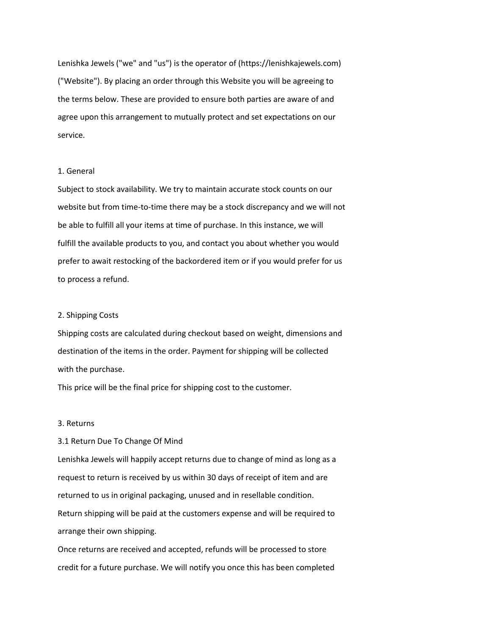Lenishka Jewels ("we" and "us") is the operator of (https://lenishkajewels.com) ("Website"). By placing an order through this Website you will be agreeing to the terms below. These are provided to ensure both parties are aware of and agree upon this arrangement to mutually protect and set expectations on our service.

### 1. General

Subject to stock availability. We try to maintain accurate stock counts on our website but from time-to-time there may be a stock discrepancy and we will not be able to fulfill all your items at time of purchase. In this instance, we will fulfill the available products to you, and contact you about whether you would prefer to await restocking of the backordered item or if you would prefer for us to process a refund.

#### 2. Shipping Costs

Shipping costs are calculated during checkout based on weight, dimensions and destination of the items in the order. Payment for shipping will be collected with the purchase.

This price will be the final price for shipping cost to the customer.

## 3. Returns

### 3.1 Return Due To Change Of Mind

Lenishka Jewels will happily accept returns due to change of mind as long as a request to return is received by us within 30 days of receipt of item and are returned to us in original packaging, unused and in resellable condition. Return shipping will be paid at the customers expense and will be required to arrange their own shipping.

Once returns are received and accepted, refunds will be processed to store credit for a future purchase. We will notify you once this has been completed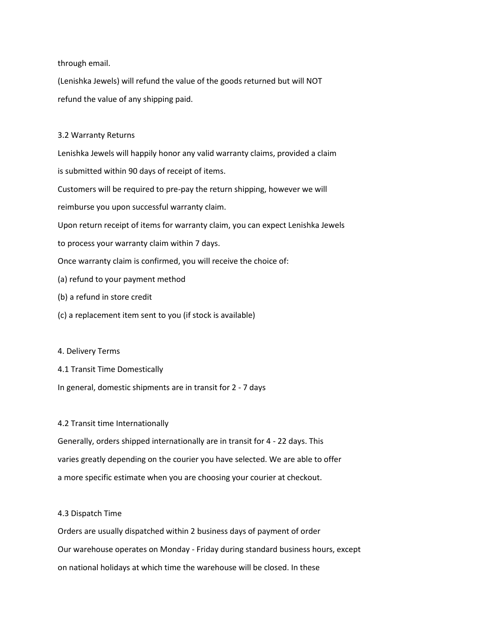through email.

(Lenishka Jewels) will refund the value of the goods returned but will NOT refund the value of any shipping paid.

### 3.2 Warranty Returns

Lenishka Jewels will happily honor any valid warranty claims, provided a claim is submitted within 90 days of receipt of items. Customers will be required to pre-pay the return shipping, however we will

reimburse you upon successful warranty claim.

Upon return receipt of items for warranty claim, you can expect Lenishka Jewels

to process your warranty claim within 7 days.

Once warranty claim is confirmed, you will receive the choice of:

- (a) refund to your payment method
- (b) a refund in store credit
- (c) a replacement item sent to you (if stock is available)

### 4. Delivery Terms

- 4.1 Transit Time Domestically
- In general, domestic shipments are in transit for 2 7 days

## 4.2 Transit time Internationally

Generally, orders shipped internationally are in transit for 4 - 22 days. This varies greatly depending on the courier you have selected. We are able to offer a more specific estimate when you are choosing your courier at checkout.

### 4.3 Dispatch Time

Orders are usually dispatched within 2 business days of payment of order Our warehouse operates on Monday - Friday during standard business hours, except on national holidays at which time the warehouse will be closed. In these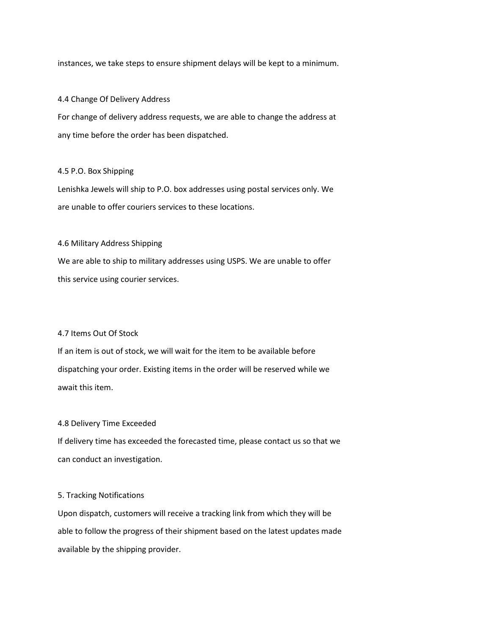instances, we take steps to ensure shipment delays will be kept to a minimum.

### 4.4 Change Of Delivery Address

For change of delivery address requests, we are able to change the address at any time before the order has been dispatched.

### 4.5 P.O. Box Shipping

Lenishka Jewels will ship to P.O. box addresses using postal services only. We are unable to offer couriers services to these locations.

## 4.6 Military Address Shipping

We are able to ship to military addresses using USPS. We are unable to offer this service using courier services.

## 4.7 Items Out Of Stock

If an item is out of stock, we will wait for the item to be available before dispatching your order. Existing items in the order will be reserved while we await this item.

### 4.8 Delivery Time Exceeded

If delivery time has exceeded the forecasted time, please contact us so that we can conduct an investigation.

## 5. Tracking Notifications

Upon dispatch, customers will receive a tracking link from which they will be able to follow the progress of their shipment based on the latest updates made available by the shipping provider.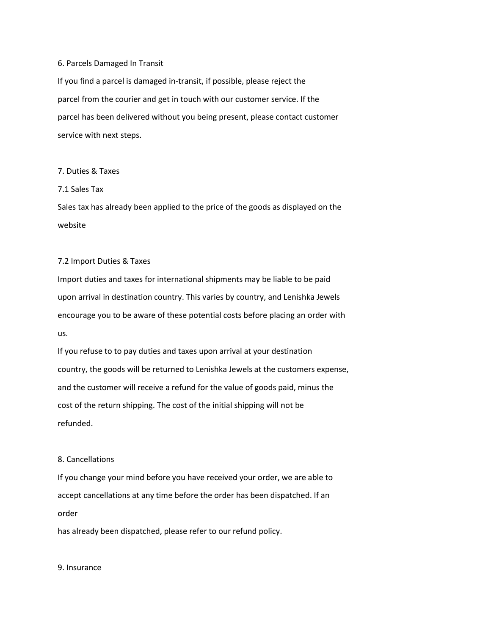#### 6. Parcels Damaged In Transit

If you find a parcel is damaged in-transit, if possible, please reject the parcel from the courier and get in touch with our customer service. If the parcel has been delivered without you being present, please contact customer service with next steps.

## 7. Duties & Taxes

7.1 Sales Tax

Sales tax has already been applied to the price of the goods as displayed on the website

### 7.2 Import Duties & Taxes

Import duties and taxes for international shipments may be liable to be paid upon arrival in destination country. This varies by country, and Lenishka Jewels encourage you to be aware of these potential costs before placing an order with us.

If you refuse to to pay duties and taxes upon arrival at your destination country, the goods will be returned to Lenishka Jewels at the customers expense, and the customer will receive a refund for the value of goods paid, minus the cost of the return shipping. The cost of the initial shipping will not be refunded.

# 8. Cancellations

If you change your mind before you have received your order, we are able to accept cancellations at any time before the order has been dispatched. If an order

has already been dispatched, please refer to our refund policy.

#### 9. Insurance